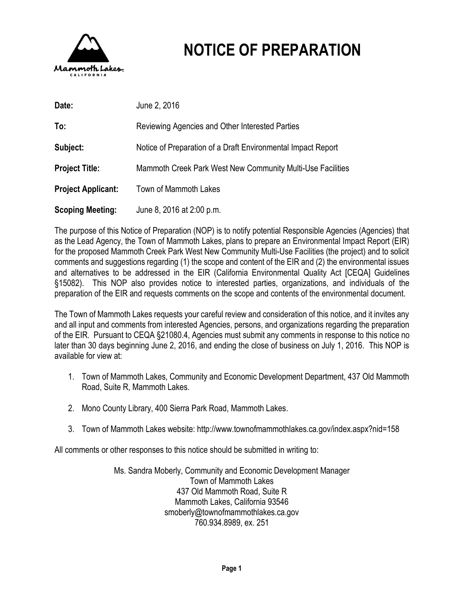

# **NOTICE OF PREPARATION**

| Date:                     | June 2, 2016                                                 |
|---------------------------|--------------------------------------------------------------|
| To:                       | Reviewing Agencies and Other Interested Parties              |
| Subject:                  | Notice of Preparation of a Draft Environmental Impact Report |
| <b>Project Title:</b>     | Mammoth Creek Park West New Community Multi-Use Facilities   |
| <b>Project Applicant:</b> | Town of Mammoth Lakes                                        |
| <b>Scoping Meeting:</b>   | June 8, 2016 at 2:00 p.m.                                    |

The purpose of this Notice of Preparation (NOP) is to notify potential Responsible Agencies (Agencies) that as the Lead Agency, the Town of Mammoth Lakes, plans to prepare an Environmental Impact Report (EIR) for the proposed Mammoth Creek Park West New Community Multi-Use Facilities (the project) and to solicit comments and suggestions regarding (1) the scope and content of the EIR and (2) the environmental issues and alternatives to be addressed in the EIR (California Environmental Quality Act [CEQA] Guidelines §15082). This NOP also provides notice to interested parties, organizations, and individuals of the preparation of the EIR and requests comments on the scope and contents of the environmental document.

The Town of Mammoth Lakes requests your careful review and consideration of this notice, and it invites any and all input and comments from interested Agencies, persons, and organizations regarding the preparation of the EIR. Pursuant to CEQA §21080.4, Agencies must submit any comments in response to this notice no later than 30 days beginning June 2, 2016, and ending the close of business on July 1, 2016. This NOP is available for view at:

- 1. Town of Mammoth Lakes, Community and Economic Development Department, 437 Old Mammoth Road, Suite R, Mammoth Lakes.
- 2. Mono County Library, 400 Sierra Park Road, Mammoth Lakes.
- 3. Town of Mammoth Lakes website:<http://www.townofmammothlakes.ca.gov/index.aspx?nid=158>

All comments or other responses to this notice should be submitted in writing to:

Ms. Sandra Moberly, Community and Economic Development Manager Town of Mammoth Lakes 437 Old Mammoth Road, Suite R Mammoth Lakes, California 93546 [smoberly@townofmammothlakes.ca.gov](mailto:smoberly@townofmammothlakes.ca.gov) 760.934.8989, ex. 251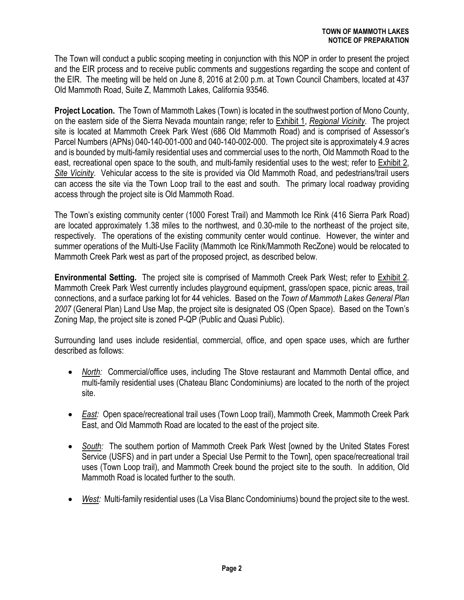The Town will conduct a public scoping meeting in conjunction with this NOP in order to present the project and the EIR process and to receive public comments and suggestions regarding the scope and content of the EIR. The meeting will be held on June 8, 2016 at 2:00 p.m. at Town Council Chambers, located at 437 Old Mammoth Road, Suite Z, Mammoth Lakes, California 93546.

**Project Location.** The Town of Mammoth Lakes (Town) is located in the southwest portion of Mono County, on the eastern side of the Sierra Nevada mountain range; refer to Exhibit 1, *Regional Vicinity*. The project site is located at Mammoth Creek Park West (686 Old Mammoth Road) and is comprised of Assessor's Parcel Numbers (APNs) 040-140-001-000 and 040-140-002-000. The project site is approximately 4.9 acres and is bounded by multi-family residential uses and commercial uses to the north, Old Mammoth Road to the east, recreational open space to the south, and multi-family residential uses to the west; refer to Exhibit 2, *Site Vicinity*. Vehicular access to the site is provided via Old Mammoth Road, and pedestrians/trail users can access the site via the Town Loop trail to the east and south. The primary local roadway providing access through the project site is Old Mammoth Road.

The Town's existing community center (1000 Forest Trail) and Mammoth Ice Rink (416 Sierra Park Road) are located approximately 1.38 miles to the northwest, and 0.30-mile to the northeast of the project site, respectively. The operations of the existing community center would continue. However, the winter and summer operations of the Multi-Use Facility (Mammoth Ice Rink/Mammoth RecZone) would be relocated to Mammoth Creek Park west as part of the proposed project, as described below.

**Environmental Setting.** The project site is comprised of Mammoth Creek Park West; refer to Exhibit 2. Mammoth Creek Park West currently includes playground equipment, grass/open space, picnic areas, trail connections, and a surface parking lot for 44 vehicles. Based on the *Town of Mammoth Lakes General Plan 2007* (General Plan) Land Use Map, the project site is designated OS (Open Space). Based on the Town's Zoning Map, the project site is zoned P-QP (Public and Quasi Public).

Surrounding land uses include residential, commercial, office, and open space uses, which are further described as follows:

- · *North:* Commercial/office uses, including The Stove restaurant and Mammoth Dental office, and multi-family residential uses (Chateau Blanc Condominiums) are located to the north of the project site.
- · *East:* Open space/recreational trail uses (Town Loop trail), Mammoth Creek, Mammoth Creek Park East, and Old Mammoth Road are located to the east of the project site.
- · *South:* The southern portion of Mammoth Creek Park West [owned by the United States Forest Service (USFS) and in part under a Special Use Permit to the Town], open space/recreational trail uses (Town Loop trail), and Mammoth Creek bound the project site to the south. In addition, Old Mammoth Road is located further to the south.
- · *West:* Multi-family residential uses (La Visa Blanc Condominiums) bound the project site to the west.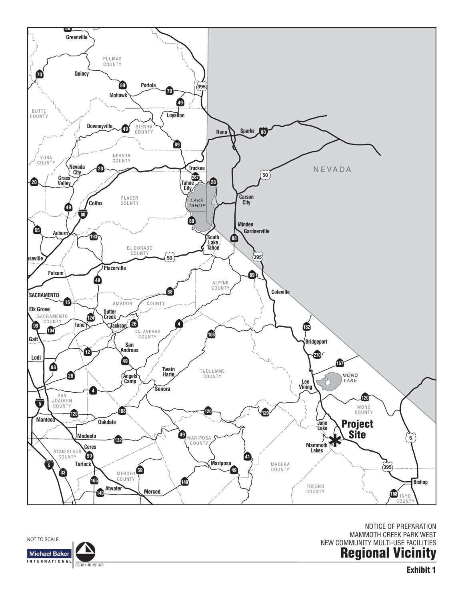**Exhibit 1**

NEW COMMUNITY MULTI-USE FACILITIES **Regional Vicinity**

NOTICE OF PREPARATION MAMMOTH CREEK PARK WEST



NOT TO SCALE

**Michael Baker INTERNATIONAL** 

06/16 • JN 151373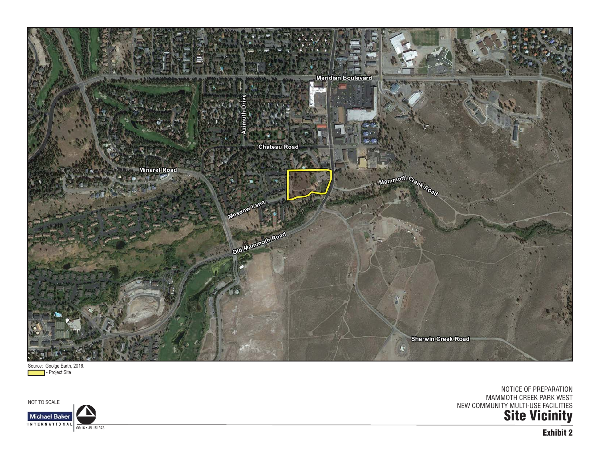

Source: Goolge Earth, 2016. **- Project Site** 

NOT TO SCALE

**Site Vicinity** NOTICE OF PREPARATION MAMMOTH CREEK PARK WEST NEW COMMUNITY MULTI-USE FACILITIES



**Exhibit 2**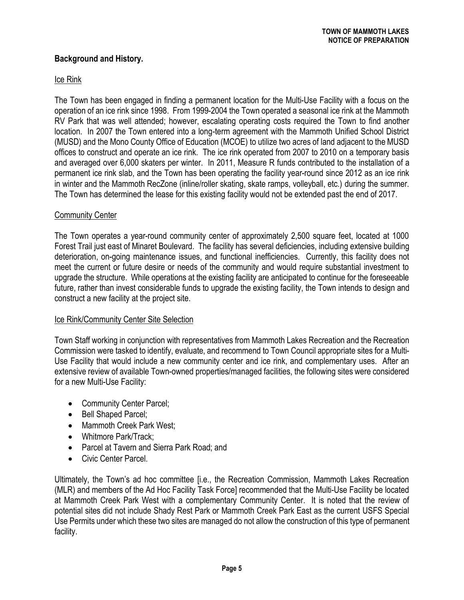# **Background and History.**

## Ice Rink

The Town has been engaged in finding a permanent location for the Multi-Use Facility with a focus on the operation of an ice rink since 1998. From 1999-2004 the Town operated a seasonal ice rink at the Mammoth RV Park that was well attended; however, escalating operating costs required the Town to find another location. In 2007 the Town entered into a long-term agreement with the Mammoth Unified School District (MUSD) and the Mono County Office of Education (MCOE) to utilize two acres of land adjacent to the MUSD offices to construct and operate an ice rink. The ice rink operated from 2007 to 2010 on a temporary basis and averaged over 6,000 skaters per winter. In 2011, Measure R funds contributed to the installation of a permanent ice rink slab, and the Town has been operating the facility year-round since 2012 as an ice rink in winter and the Mammoth RecZone (inline/roller skating, skate ramps, volleyball, etc.) during the summer. The Town has determined the lease for this existing facility would not be extended past the end of 2017.

## Community Center

The Town operates a year-round community center of approximately 2,500 square feet, located at 1000 Forest Trail just east of Minaret Boulevard. The facility has several deficiencies, including extensive building deterioration, on-going maintenance issues, and functional inefficiencies. Currently, this facility does not meet the current or future desire or needs of the community and would require substantial investment to upgrade the structure. While operations at the existing facility are anticipated to continue for the foreseeable future, rather than invest considerable funds to upgrade the existing facility, the Town intends to design and construct a new facility at the project site.

#### Ice Rink/Community Center Site Selection

Town Staff working in conjunction with representatives from Mammoth Lakes Recreation and the Recreation Commission were tasked to identify, evaluate, and recommend to Town Council appropriate sites for a Multi-Use Facility that would include a new community center and ice rink, and complementary uses. After an extensive review of available Town-owned properties/managed facilities, the following sites were considered for a new Multi-Use Facility:

- Community Center Parcel;
- Bell Shaped Parcel:
- · Mammoth Creek Park West;
- Whitmore Park/Track:
- · Parcel at Tavern and Sierra Park Road; and
- Civic Center Parcel.

Ultimately, the Town's ad hoc committee [i.e., the Recreation Commission, Mammoth Lakes Recreation (MLR) and members of the Ad Hoc Facility Task Force] recommended that the Multi-Use Facility be located at Mammoth Creek Park West with a complementary Community Center. It is noted that the review of potential sites did not include Shady Rest Park or Mammoth Creek Park East as the current USFS Special Use Permits under which these two sites are managed do not allow the construction of this type of permanent facility.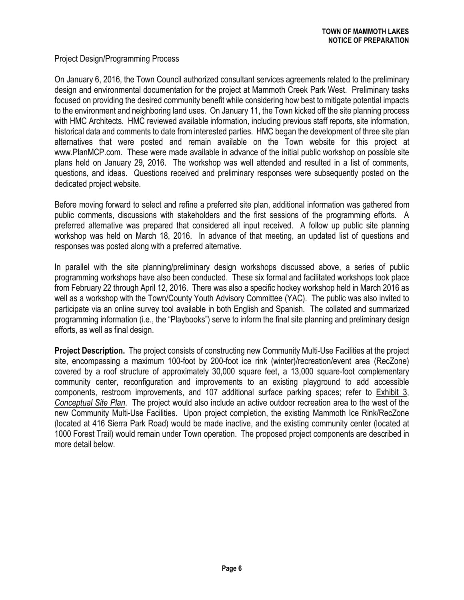## Project Design/Programming Process

On January 6, 2016, the Town Council authorized consultant services agreements related to the preliminary design and environmental documentation for the project at Mammoth Creek Park West. Preliminary tasks focused on providing the desired community benefit while considering how best to mitigate potential impacts to the environment and neighboring land uses. On January 11, the Town kicked off the site planning process with HMC Architects. HMC reviewed available information, including previous staff reports, site information, historical data and comments to date from interested parties. HMC began the development of three site plan alternatives that were posted and remain available on the Town website for this project at www.PlanMCP.com. These were made available in advance of the initial public workshop on possible site [plans held on Janu](www.PlanMCP.com)ary 29, 2016. The workshop was well attended and resulted in a list of comments, questions, and ideas. Questions received and preliminary responses were subsequently posted on the dedicated project website.

Before moving forward to select and refine a preferred site plan, additional information was gathered from public comments, discussions with stakeholders and the first sessions of the programming efforts. A preferred alternative was prepared that considered all input received. A follow up public site planning workshop was held on March 18, 2016. In advance of that meeting, an updated list of questions and responses was posted along with a preferred alternative.

In parallel with the site planning/preliminary design workshops discussed above, a series of public programming workshops have also been conducted. These six formal and facilitated workshops took place from February 22 through April 12, 2016. There was also a specific hockey workshop held in March 2016 as well as a workshop with the Town/County Youth Advisory Committee (YAC). The public was also invited to participate via an online survey tool available in both English and Spanish. The collated and summarized programming information (i.e., the "Playbooks") serve to inform the final site planning and preliminary design efforts, as well as final design.

**Project Description.** The project consists of constructing new Community Multi-Use Facilities at the project site, encompassing a maximum 100-foot by 200-foot ice rink (winter)/recreation/event area (RecZone) covered by a roof structure of approximately 30,000 square feet, a 13,000 square-foot complementary community center, reconfiguration and improvements to an existing playground to add accessible components, restroom improvements, and 107 additional surface parking spaces; refer to Exhibit 3, *Conceptual Site Plan*. The project would also include an active outdoor recreation area to the west of the new Community Multi-Use Facilities. Upon project completion, the existing Mammoth Ice Rink/RecZone (located at 416 Sierra Park Road) would be made inactive, and the existing community center (located at 1000 Forest Trail) would remain under Town operation. The proposed project components are described in more detail below.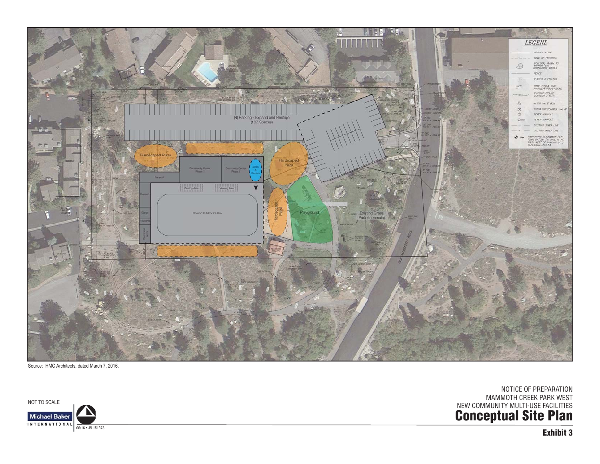

NOTICE OF PREPARATION MAMMOTH CREEK PARK WEST

**Conceptual Site Plan** NEW COMMUNITY MULTI-USE FACILITIES



NOT TO SCALE **Michael Baker** INTERNATIONAL 06/16 • JN 151373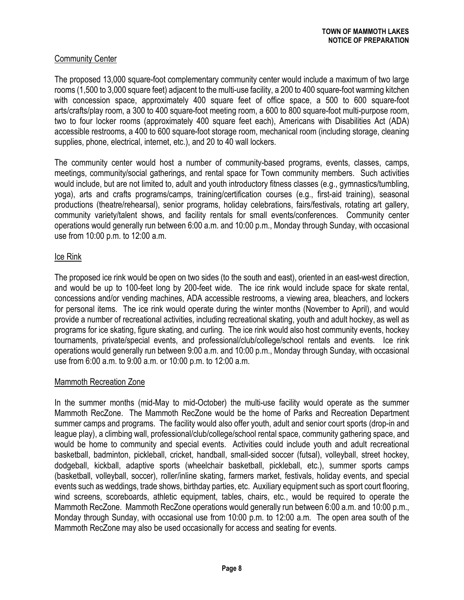# Community Center

The proposed 13,000 square-foot complementary community center would include a maximum of two large rooms (1,500 to 3,000 square feet) adjacent to the multi-use facility, a 200 to 400 square-foot warming kitchen with concession space, approximately 400 square feet of office space, a 500 to 600 square-foot arts/crafts/play room, a 300 to 400 square-foot meeting room, a 600 to 800 square-foot multi-purpose room, two to four locker rooms (approximately 400 square feet each), Americans with Disabilities Act (ADA) accessible restrooms, a 400 to 600 square-foot storage room, mechanical room (including storage, cleaning supplies, phone, electrical, internet, etc.), and 20 to 40 wall lockers.

The community center would host a number of community-based programs, events, classes, camps, meetings, community/social gatherings, and rental space for Town community members. Such activities would include, but are not limited to, adult and youth introductory fitness classes (e.g., gymnastics/tumbling, yoga), arts and crafts programs/camps, training/certification courses (e.g., first-aid training), seasonal productions (theatre/rehearsal), senior programs, holiday celebrations, fairs/festivals, rotating art gallery, community variety/talent shows, and facility rentals for small events/conferences. Community center operations would generally run between 6:00 a.m. and 10:00 p.m., Monday through Sunday, with occasional use from 10:00 p.m. to 12:00 a.m.

# Ice Rink

The proposed ice rink would be open on two sides (to the south and east), oriented in an east-west direction, and would be up to 100-feet long by 200-feet wide. The ice rink would include space for skate rental, concessions and/or vending machines, ADA accessible restrooms, a viewing area, bleachers, and lockers for personal items. The ice rink would operate during the winter months (November to April), and would provide a number of recreational activities, including recreational skating, youth and adult hockey, as well as programs for ice skating, figure skating, and curling. The ice rink would also host community events, hockey tournaments, private/special events, and professional/club/college/school rentals and events. Ice rink operations would generally run between 9:00 a.m. and 10:00 p.m., Monday through Sunday, with occasional use from 6:00 a.m. to 9:00 a.m. or 10:00 p.m. to 12:00 a.m.

## Mammoth Recreation Zone

In the summer months (mid-May to mid-October) the multi-use facility would operate as the summer Mammoth RecZone. The Mammoth RecZone would be the home of Parks and Recreation Department summer camps and programs. The facility would also offer youth, adult and senior court sports (drop-in and league play), a climbing wall, professional/club/college/school rental space, community gathering space, and would be home to community and special events. Activities could include youth and adult recreational basketball, badminton, pickleball, cricket, handball, small-sided soccer (futsal), volleyball, street hockey, dodgeball, kickball, adaptive sports (wheelchair basketball, pickleball, etc.), summer sports camps (basketball, volleyball, soccer), roller/inline skating, farmers market, festivals, holiday events, and special events such as weddings, trade shows, birthday parties, etc. Auxiliary equipment such as sport court flooring, wind screens, scoreboards, athletic equipment, tables, chairs, etc., would be required to operate the Mammoth RecZone. Mammoth RecZone operations would generally run between 6:00 a.m. and 10:00 p.m., Monday through Sunday, with occasional use from 10:00 p.m. to 12:00 a.m. The open area south of the Mammoth RecZone may also be used occasionally for access and seating for events.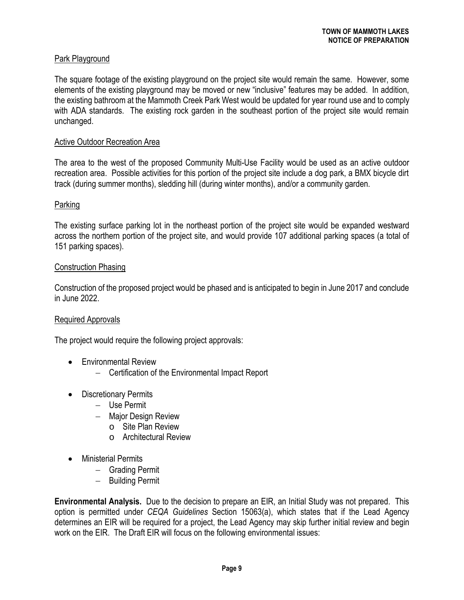# Park Playground

The square footage of the existing playground on the project site would remain the same. However, some elements of the existing playground may be moved or new "inclusive" features may be added. In addition, the existing bathroom at the Mammoth Creek Park West would be updated for year round use and to comply with ADA standards. The existing rock garden in the southeast portion of the project site would remain unchanged.

### Active Outdoor Recreation Area

The area to the west of the proposed Community Multi-Use Facility would be used as an active outdoor recreation area. Possible activities for this portion of the project site include a dog park, a BMX bicycle dirt track (during summer months), sledding hill (during winter months), and/or a community garden.

## Parking

The existing surface parking lot in the northeast portion of the project site would be expanded westward across the northern portion of the project site, and would provide 107 additional parking spaces (a total of 151 parking spaces).

#### Construction Phasing

Construction of the proposed project would be phased and is anticipated to begin in June 2017 and conclude in June 2022.

#### Required Approvals

The project would require the following project approvals:

- Environmental Review
	- Certification of the Environmental Impact Report
- Discretionary Permits
	- Use Permit
	- Major Design Review
		- o Site Plan Review
		- o Architectural Review
- · Ministerial Permits
	- Grading Permit
	- Building Permit

**Environmental Analysis.** Due to the decision to prepare an EIR, an Initial Study was not prepared. This option is permitted under *CEQA Guidelines* Section 15063(a), which states that if the Lead Agency determines an EIR will be required for a project, the Lead Agency may skip further initial review and begin work on the EIR. The Draft EIR will focus on the following environmental issues: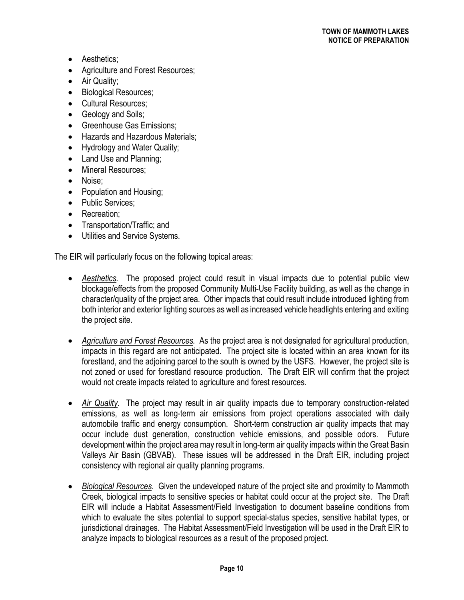- Aesthetics;
- · Agriculture and Forest Resources;
- Air Quality;
- Biological Resources;
- · Cultural Resources;
- Geology and Soils;
- Greenhouse Gas Emissions;
- · Hazards and Hazardous Materials;
- · Hydrology and Water Quality;
- Land Use and Planning;
- Mineral Resources:
- · Noise;
- · Population and Housing;
- Public Services;
- Recreation:
- · Transportation/Traffic; and
- · Utilities and Service Systems.

The EIR will particularly focus on the following topical areas:

- · *Aesthetics.* The proposed project could result in visual impacts due to potential public view blockage/effects from the proposed Community Multi-Use Facility building, as well as the change in character/quality of the project area. Other impacts that could result include introduced lighting from both interior and exterior lighting sources as well as increased vehicle headlights entering and exiting the project site.
- · *Agriculture and Forest Resources.* As the project area is not designated for agricultural production, impacts in this regard are not anticipated. The project site is located within an area known for its forestland, and the adjoining parcel to the south is owned by the USFS. However, the project site is not zoned or used for forestland resource production. The Draft EIR will confirm that the project would not create impacts related to agriculture and forest resources.
- · *Air Quality*. The project may result in air quality impacts due to temporary construction-related emissions, as well as long-term air emissions from project operations associated with daily automobile traffic and energy consumption. Short-term construction air quality impacts that may occur include dust generation, construction vehicle emissions, and possible odors. Future development within the project area may result in long-term air quality impacts within the Great Basin Valleys Air Basin (GBVAB). These issues will be addressed in the Draft EIR, including project consistency with regional air quality planning programs.
- · *Biological Resources*. Given the undeveloped nature of the project site and proximity to Mammoth Creek, biological impacts to sensitive species or habitat could occur at the project site. The Draft EIR will include a Habitat Assessment/Field Investigation to document baseline conditions from which to evaluate the sites potential to support special-status species, sensitive habitat types, or jurisdictional drainages. The Habitat Assessment/Field Investigation will be used in the Draft EIR to analyze impacts to biological resources as a result of the proposed project.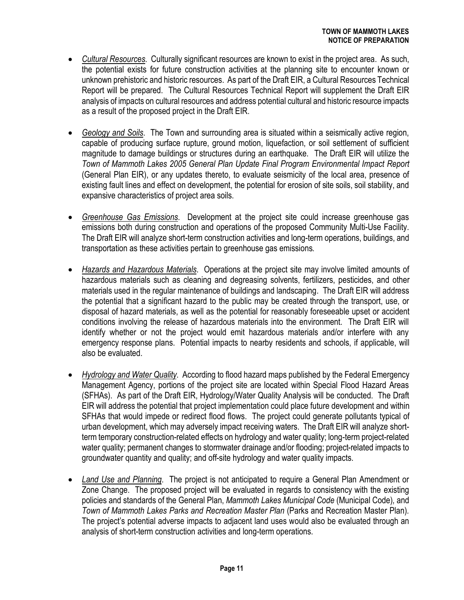- · *Cultural Resources*. Culturally significant resources are known to exist in the project area. As such, the potential exists for future construction activities at the planning site to encounter known or unknown prehistoric and historic resources. As part of the Draft EIR, a Cultural Resources Technical Report will be prepared. The Cultural Resources Technical Report will supplement the Draft EIR analysis of impacts on cultural resources and address potential cultural and historic resource impacts as a result of the proposed project in the Draft EIR.
- · *Geology and Soils*.The Town and surrounding area is situated within a seismically active region, capable of producing surface rupture, ground motion, liquefaction, or soil settlement of sufficient magnitude to damage buildings or structures during an earthquake. The Draft EIR will utilize the *Town of Mammoth Lakes 2005 General Plan Update Final Program Environmental Impact Report* (General Plan EIR), or any updates thereto, to evaluate seismicity of the local area, presence of existing fault lines and effect on development, the potential for erosion of site soils, soil stability, and expansive characteristics of project area soils.
- · *Greenhouse Gas Emissions*. Development at the project site could increase greenhouse gas emissions both during construction and operations of the proposed Community Multi-Use Facility. The Draft EIR will analyze short-term construction activities and long-term operations, buildings, and transportation as these activities pertain to greenhouse gas emissions.
- · *Hazards and Hazardous Materials*. Operations at the project site may involve limited amounts of hazardous materials such as cleaning and degreasing solvents, fertilizers, pesticides, and other materials used in the regular maintenance of buildings and landscaping. The Draft EIR will address the potential that a significant hazard to the public may be created through the transport, use, or disposal of hazard materials, as well as the potential for reasonably foreseeable upset or accident conditions involving the release of hazardous materials into the environment. The Draft EIR will identify whether or not the project would emit hazardous materials and/or interfere with any emergency response plans. Potential impacts to nearby residents and schools, if applicable, will also be evaluated.
- · *Hydrology and Water Quality*. According to flood hazard maps published by the Federal Emergency Management Agency, portions of the project site are located within Special Flood Hazard Areas (SFHAs). As part of the Draft EIR, Hydrology/Water Quality Analysis will be conducted. The Draft EIR will address the potential that project implementation could place future development and within SFHAs that would impede or redirect flood flows. The project could generate pollutants typical of urban development, which may adversely impact receiving waters. The Draft EIR will analyze shortterm temporary construction-related effects on hydrology and water quality; long-term project-related water quality; permanent changes to stormwater drainage and/or flooding; project-related impacts to groundwater quantity and quality; and off-site hydrology and water quality impacts.
- · *Land Use and Planning*. The project is not anticipated to require a General Plan Amendment or Zone Change. The proposed project will be evaluated in regards to consistency with the existing policies and standards of the General Plan, *Mammoth Lakes Municipal Code* (Municipal Code)*,* and *Town of Mammoth Lakes Parks and Recreation Master Plan* (Parks and Recreation Master Plan)*.*  The project's potential adverse impacts to adjacent land uses would also be evaluated through an analysis of short-term construction activities and long-term operations.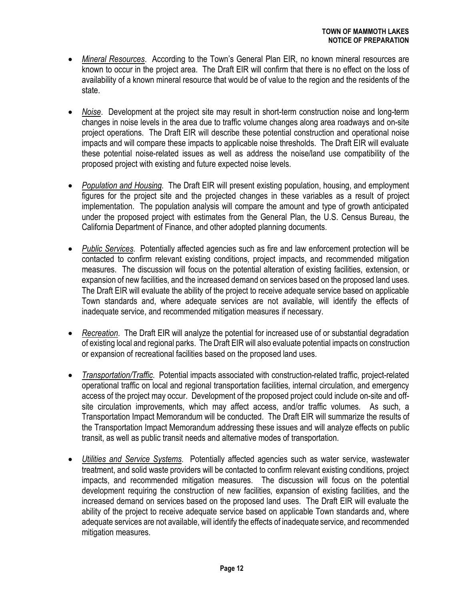- · *Mineral Resources*. According to the Town's General Plan EIR, no known mineral resources are known to occur in the project area. The Draft EIR will confirm that there is no effect on the loss of availability of a known mineral resource that would be of value to the region and the residents of the state.
- · *Noise*.Development at the project site may result in short-term construction noise and long-term changes in noise levels in the area due to traffic volume changes along area roadways and on-site project operations. The Draft EIR will describe these potential construction and operational noise impacts and will compare these impacts to applicable noise thresholds. The Draft EIR will evaluate these potential noise-related issues as well as address the noise/land use compatibility of the proposed project with existing and future expected noise levels.
- · *Population and Housing*.The Draft EIR will present existing population, housing, and employment figures for the project site and the projected changes in these variables as a result of project implementation. The population analysis will compare the amount and type of growth anticipated under the proposed project with estimates from the General Plan, the U.S. Census Bureau, the California Department of Finance, and other adopted planning documents.
- · *Public Services*.Potentially affected agencies such as fire and law enforcement protection will be contacted to confirm relevant existing conditions, project impacts, and recommended mitigation measures. The discussion will focus on the potential alteration of existing facilities, extension, or expansion of new facilities, and the increased demand on services based on the proposed land uses. The Draft EIR will evaluate the ability of the project to receive adequate service based on applicable Town standards and, where adequate services are not available, will identify the effects of inadequate service, and recommended mitigation measures if necessary.
- · *Recreation*.The Draft EIR will analyze the potential for increased use of or substantial degradation of existing local and regional parks. The Draft EIR will also evaluate potential impacts on construction or expansion of recreational facilities based on the proposed land uses.
- · *Transportation/Traffic*. Potential impacts associated with construction-related traffic, project-related operational traffic on local and regional transportation facilities, internal circulation, and emergency access of the project may occur. Development of the proposed project could include on-site and offsite circulation improvements, which may affect access, and/or traffic volumes. As such, a Transportation Impact Memorandum will be conducted. The Draft EIR will summarize the results of the Transportation Impact Memorandum addressing these issues and will analyze effects on public transit, as well as public transit needs and alternative modes of transportation.
- · *Utilities and Service Systems*. Potentially affected agencies such as water service, wastewater treatment, and solid waste providers will be contacted to confirm relevant existing conditions, project impacts, and recommended mitigation measures. The discussion will focus on the potential development requiring the construction of new facilities, expansion of existing facilities, and the increased demand on services based on the proposed land uses. The Draft EIR will evaluate the ability of the project to receive adequate service based on applicable Town standards and, where adequate services are not available, will identify the effects of inadequate service, and recommended mitigation measures.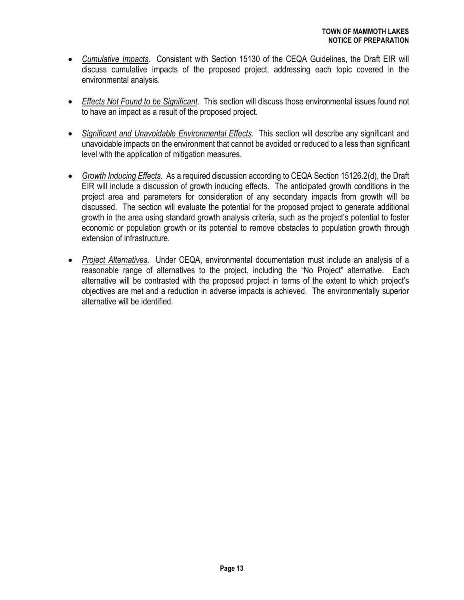- · *Cumulative Impacts*. Consistent with Section 15130 of the CEQA Guidelines, the Draft EIR will discuss cumulative impacts of the proposed project, addressing each topic covered in the environmental analysis.
- · *Effects Not Found to be Significant*. This section will discuss those environmental issues found not to have an impact as a result of the proposed project.
- · *Significant and Unavoidable Environmental Effects*. This section will describe any significant and unavoidable impacts on the environment that cannot be avoided or reduced to a less than significant level with the application of mitigation measures.
- · *Growth Inducing Effects*. As a required discussion according to CEQA Section 15126.2(d), the Draft EIR will include a discussion of growth inducing effects. The anticipated growth conditions in the project area and parameters for consideration of any secondary impacts from growth will be discussed. The section will evaluate the potential for the proposed project to generate additional growth in the area using standard growth analysis criteria, such as the project's potential to foster economic or population growth or its potential to remove obstacles to population growth through extension of infrastructure.
- · *Project Alternatives*. Under CEQA, environmental documentation must include an analysis of a reasonable range of alternatives to the project, including the "No Project" alternative. Each alternative will be contrasted with the proposed project in terms of the extent to which project's objectives are met and a reduction in adverse impacts is achieved. The environmentally superior alternative will be identified.